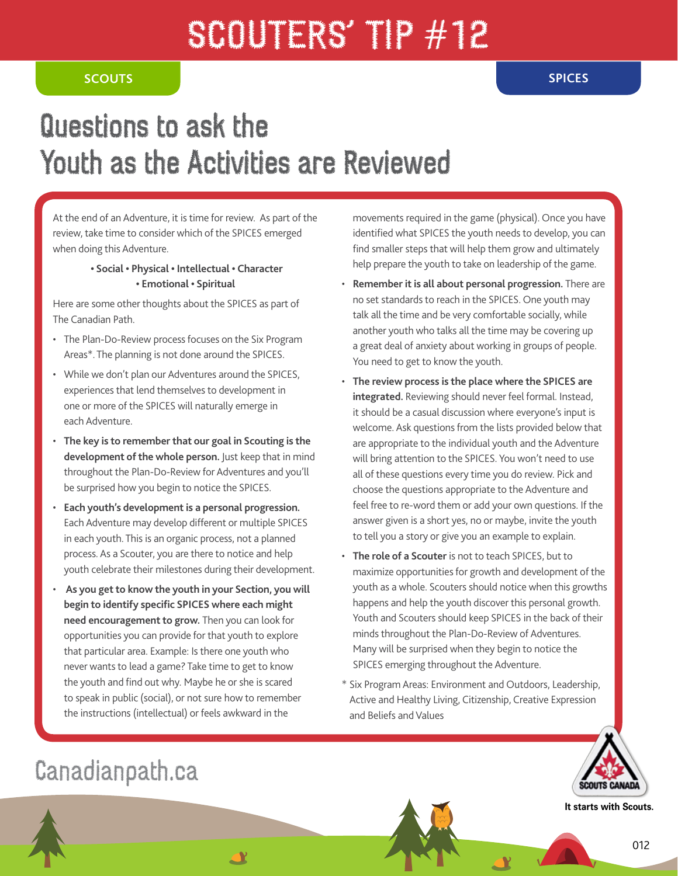# SCOUTERS' TP #12

#### **SCOUTS SPICES**

## Questions to ask the Youth as the Activities are Reviewed

At the end of an Adventure, it is time for review. As part of the review, take time to consider which of the SPICES emerged when doing this Adventure.

#### **• Social • Physical • Intellectual • Character • Emotional • Spiritual**

Here are some other thoughts about the SPICES as part of The Canadian Path.

- The Plan-Do-Review process focuses on the Six Program Areas\*. The planning is not done around the SPICES.
- While we don't plan our Adventures around the SPICES, experiences that lend themselves to development in one or more of the SPICES will naturally emerge in each Adventure.
- **The key is to remember that our goal in Scouting is the development of the whole person.** Just keep that in mind throughout the Plan-Do-Review for Adventures and you'll be surprised how you begin to notice the SPICES.
- **Each youth's development is a personal progression.**  Each Adventure may develop different or multiple SPICES in each youth. This is an organic process, not a planned process. As a Scouter, you are there to notice and help youth celebrate their milestones during their development.
- • **As you get to know the youth in your Section, you will begin to identify specific SPICES where each might need encouragement to grow.** Then you can look for opportunities you can provide for that youth to explore that particular area. Example: Is there one youth who never wants to lead a game? Take time to get to know the youth and find out why. Maybe he or she is scared to speak in public (social), or not sure how to remember the instructions (intellectual) or feels awkward in the

<u>AY</u>

movements required in the game (physical). Once you have identified what SPICES the youth needs to develop, you can find smaller steps that will help them grow and ultimately help prepare the youth to take on leadership of the game.

- **Remember it is all about personal progression.** There are no set standards to reach in the SPICES. One youth may talk all the time and be very comfortable socially, while another youth who talks all the time may be covering up a great deal of anxiety about working in groups of people. You need to get to know the youth.
- **The review process is the place where the SPICES are integrated.** Reviewing should never feel formal. Instead, it should be a casual discussion where everyone's input is welcome. Ask questions from the lists provided below that are appropriate to the individual youth and the Adventure will bring attention to the SPICES. You won't need to use all of these questions every time you do review. Pick and choose the questions appropriate to the Adventure and feel free to re-word them or add your own questions. If the answer given is a short yes, no or maybe, invite the youth to tell you a story or give you an example to explain.
- **The role of a Scouter** is not to teach SPICES, but to maximize opportunities for growth and development of the youth as a whole. Scouters should notice when this growths happens and help the youth discover this personal growth. Youth and Scouters should keep SPICES in the back of their minds throughout the Plan-Do-Review of Adventures. Many will be surprised when they begin to notice the SPICES emerging throughout the Adventure.
- \* Six Program Areas: Environment and Outdoors, Leadership, Active and Healthy Living, Citizenship, Creative Expression and Beliefs and Values



**It starts with Scouts.**

### Canadianpath.ca